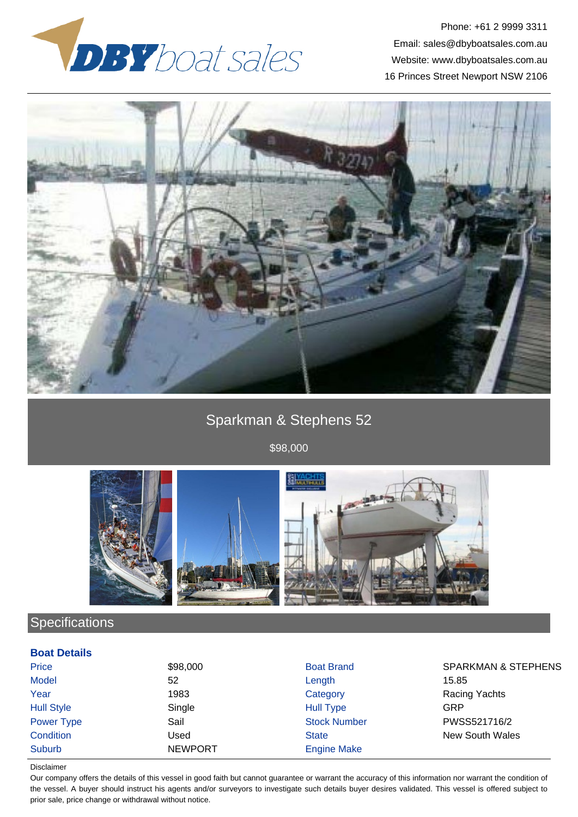

Phone: +61 2 9999 3311 Email: sales@dbyboatsales.com.au Website: www.dbyboatsales.com.au 16 Princes Street Newport NSW 2106



# Sparkman & Stephens 52

\$98,000



# **Specifications**

### **Boat Details**

| Price             | \$98,000       | <b>Boat Brand</b>   | <b>SPARKMAN &amp; STEPHENS</b> |
|-------------------|----------------|---------------------|--------------------------------|
| <b>Model</b>      | 52             | Length              | 15.85                          |
| Year              | 1983           | Category            | Racing Yachts                  |
| <b>Hull Style</b> | Single         | <b>Hull Type</b>    | GRP                            |
| Power Type        | Sail           | <b>Stock Number</b> | PWSS521716/2                   |
| Condition         | Used           | <b>State</b>        | <b>New South Wales</b>         |
| <b>Suburb</b>     | <b>NEWPORT</b> | <b>Engine Make</b>  |                                |

#### Disclaimer

Our company offers the details of this vessel in good faith but cannot guarantee or warrant the accuracy of this information nor warrant the condition of the vessel. A buyer should instruct his agents and/or surveyors to investigate such details buyer desires validated. This vessel is offered subject to prior sale, price change or withdrawal without notice.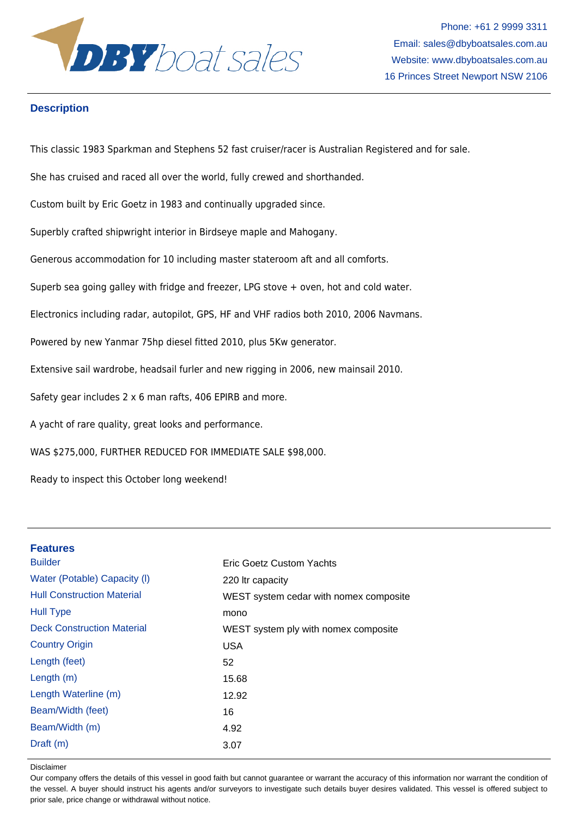

Phone: +61 2 9999 3311 Email: sales@dbyboatsales.com.au Website: www.dbyboatsales.com.au 16 Princes Street Newport NSW 2106

## **Description**

This classic 1983 Sparkman and Stephens 52 fast cruiser/racer is Australian Registered and for sale.

She has cruised and raced all over the world, fully crewed and shorthanded.

Custom built by Eric Goetz in 1983 and continually upgraded since.

Superbly crafted shipwright interior in Birdseye maple and Mahogany.

Generous accommodation for 10 including master stateroom aft and all comforts.

Superb sea going galley with fridge and freezer, LPG stove + oven, hot and cold water.

Electronics including radar, autopilot, GPS, HF and VHF radios both 2010, 2006 Navmans.

Powered by new Yanmar 75hp diesel fitted 2010, plus 5Kw generator.

Extensive sail wardrobe, headsail furler and new rigging in 2006, new mainsail 2010.

Safety gear includes 2 x 6 man rafts, 406 EPIRB and more.

A yacht of rare quality, great looks and performance.

WAS \$275,000, FURTHER REDUCED FOR IMMEDIATE SALE \$98,000.

Ready to inspect this October long weekend!

| <b>Features</b>                   |                                        |
|-----------------------------------|----------------------------------------|
| <b>Builder</b>                    | Eric Goetz Custom Yachts               |
| Water (Potable) Capacity (I)      | 220 Itr capacity                       |
| <b>Hull Construction Material</b> | WEST system cedar with nomex composite |
| <b>Hull Type</b>                  | mono                                   |
| <b>Deck Construction Material</b> | WEST system ply with nomex composite   |
| <b>Country Origin</b>             | <b>USA</b>                             |
| Length (feet)                     | 52                                     |
| Length $(m)$                      | 15.68                                  |
| Length Waterline (m)              | 12.92                                  |
| Beam/Width (feet)                 | 16                                     |
| Beam/Width (m)                    | 4.92                                   |
| Draff(m)                          | 3.07                                   |
|                                   |                                        |

Disclaimer

Our company offers the details of this vessel in good faith but cannot guarantee or warrant the accuracy of this information nor warrant the condition of the vessel. A buyer should instruct his agents and/or surveyors to investigate such details buyer desires validated. This vessel is offered subject to prior sale, price change or withdrawal without notice.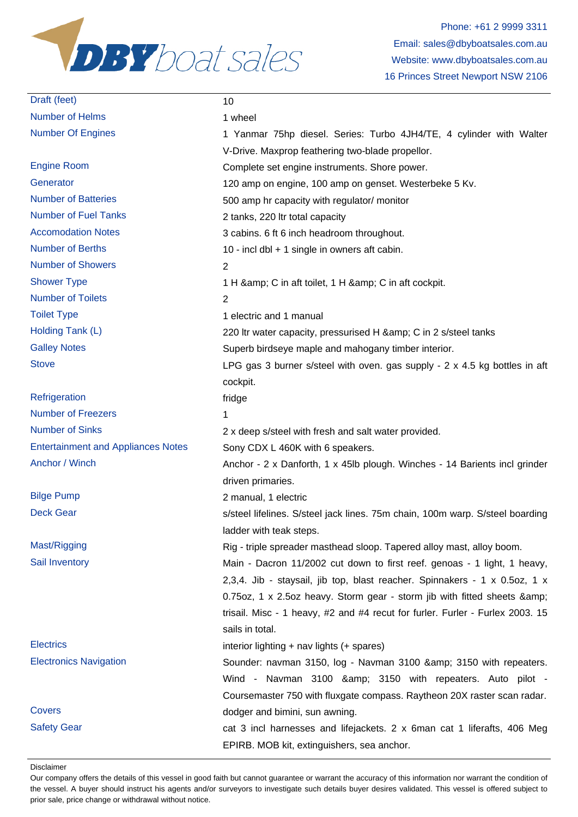

# Draft (feet) 10 Number of Helms 1 wheel

Number of Showers 2 Number of Toilets 2

Refrigeration and the state of the state of the state of the state of the state of the state of the state of the state of the state of the state of the state of the state of the state of the state of the state of the state Number of Freezers 1

Number Of Engines 1 Yanmar 75hp diesel. Series: Turbo 4JH4/TE, 4 cylinder with Walter V-Drive. Maxprop feathering two-blade propellor. Engine Room Complete set engine instruments. Shore power. Generator 120 amp on engine, 100 amp on genset. Westerbeke 5 Kv. Number of Batteries **1988** 500 amp hr capacity with regulator/ monitor Number of Fuel Tanks 220 ltr total capacity Accomodation Notes 3 cabins. 6 ft 6 inch headroom throughout. Number of Berths 10 - incl dbl + 1 single in owners aft cabin. Shower Type 1 H & amp: C in aft toilet, 1 H & amp: C in aft cockpit. Toilet Type 1 electric and 1 manual Holding Tank (L) 220 ltr water capacity, pressurised H & amp; C in 2 s/steel tanks Galley Notes Superb birdseye maple and mahogany timber interior. Stove Stove EPG gas 3 burner s/steel with oven. gas supply - 2 x 4.5 kg bottles in aft cockpit. Number of Sinks 2 x deep s/steel with fresh and salt water provided. Entertainment and Appliances Notes Sony CDX L 460K with 6 speakers. Anchor / Winch Anchor - 2 x Danforth, 1 x 45lb plough. Winches - 14 Barients incl grinder driven primaries. Bilge Pump 2 manual, 1 electric Deck Gear state steel lifelines. S/steel jack lines. 75m chain, 100m warp. S/steel boarding ladder with teak steps. Mast/Rigging Mast/Rigging Rig - triple spreader masthead sloop. Tapered alloy mast, alloy boom. Sail Inventory **Main - Dacron 11/2002** cut down to first reef. genoas - 1 light, 1 heavy, 2,3,4. Jib - staysail, jib top, blast reacher. Spinnakers - 1 x 0.5oz, 1 x 0.75oz, 1 x 2.5oz heavy. Storm gear - storm jib with fitted sheets & amp; trisail. Misc - 1 heavy, #2 and #4 recut for furler. Furler - Furlex 2003. 15 sails in total. Electrics interior lighting + nav lights (+ spares) Electronics Navigation Sounder: navman 3150, log - Navman 3100 & 3150 with repeaters. Wind - Navman 3100 & amp; 3150 with repeaters. Auto pilot -Coursemaster 750 with fluxgate compass. Raytheon 20X raster scan radar. Covers dodger and bimini, sun awning. Safety Gear cat 3 incl harnesses and lifejackets. 2 x 6man cat 1 liferafts, 406 Meg EPIRB. MOB kit, extinguishers, sea anchor.

Disclaimer

Our company offers the details of this vessel in good faith but cannot guarantee or warrant the accuracy of this information nor warrant the condition of the vessel. A buyer should instruct his agents and/or surveyors to investigate such details buyer desires validated. This vessel is offered subject to prior sale, price change or withdrawal without notice.